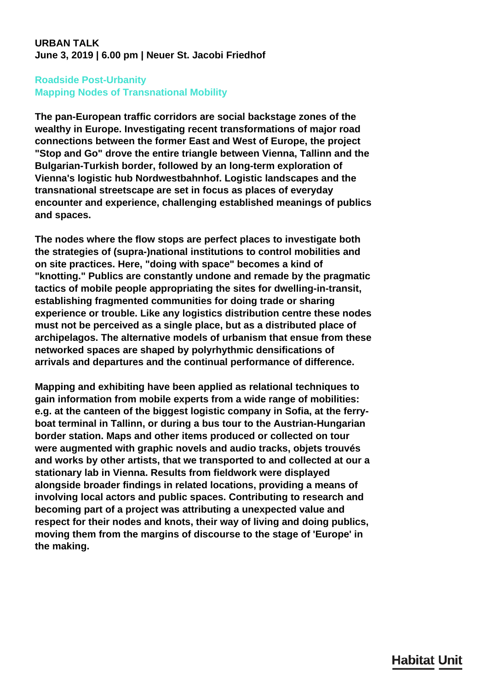## **URBAN TALK June 3, 2019 | 6.00 pm | Neuer St. Jacobi Friedhof**

## **Roadside Post-Urbanity Mapping Nodes of Transnational Mobility**

**The pan-European traffic corridors are social backstage zones of the wealthy in Europe. Investigating recent transformations of major road connections between the former East and West of Europe, the project "Stop and Go" drove the entire triangle between Vienna, Tallinn and the Bulgarian-Turkish border, followed by an long-term exploration of Vienna's logistic hub Nordwestbahnhof. Logistic landscapes and the transnational streetscape are set in focus as places of everyday encounter and experience, challenging established meanings of publics and spaces.**

**The nodes where the flow stops are perfect places to investigate both the strategies of (supra-)national institutions to control mobilities and on site practices. Here, "doing with space" becomes a kind of "knotting." Publics are constantly undone and remade by the pragmatic tactics of mobile people appropriating the sites for dwelling-in-transit, establishing fragmented communities for doing trade or sharing experience or trouble. Like any logistics distribution centre these nodes must not be perceived as a single place, but as a distributed place of archipelagos. The alternative models of urbanism that ensue from these networked spaces are shaped by polyrhythmic densifications of arrivals and departures and the continual performance of difference.**

**Mapping and exhibiting have been applied as relational techniques to gain information from mobile experts from a wide range of mobilities: e.g. at the canteen of the biggest logistic company in Sofia, at the ferryboat terminal in Tallinn, or during a bus tour to the Austrian-Hungarian border station. Maps and other items produced or collected on tour were augmented with graphic novels and audio tracks, objets trouvés and works by other artists, that we transported to and collected at our a stationary lab in Vienna. Results from fieldwork were displayed alongside broader findings in related locations, providing a means of involving local actors and public spaces. Contributing to research and becoming part of a project was attributing a unexpected value and respect for their nodes and knots, their way of living and doing publics, moving them from the margins of discourse to the stage of 'Europe' in the making.**